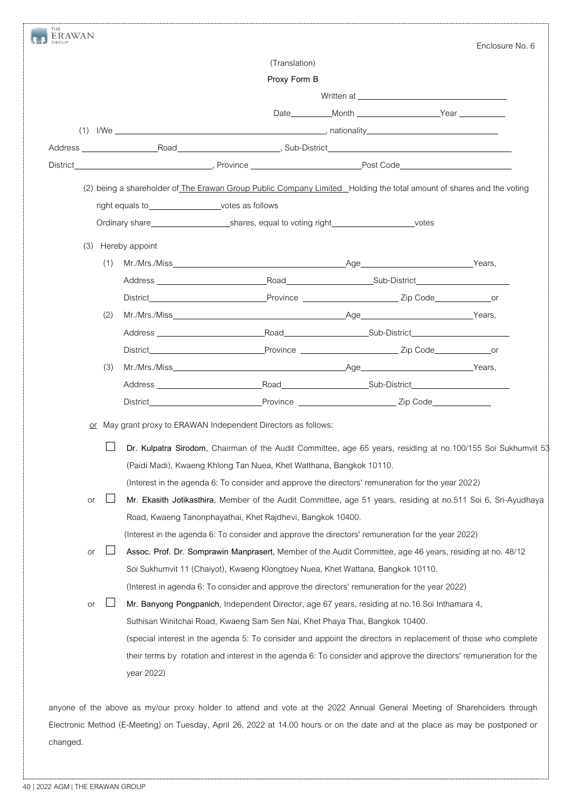|  |                                                                                                                      |     |                                                                                                                 |                                                                                                                                                                                                                                                    |  |                   | Enclosure No. 6 |  |  |  |
|--|----------------------------------------------------------------------------------------------------------------------|-----|-----------------------------------------------------------------------------------------------------------------|----------------------------------------------------------------------------------------------------------------------------------------------------------------------------------------------------------------------------------------------------|--|-------------------|-----------------|--|--|--|
|  |                                                                                                                      |     |                                                                                                                 | (Translation)                                                                                                                                                                                                                                      |  |                   |                 |  |  |  |
|  |                                                                                                                      |     |                                                                                                                 | Proxy Form B                                                                                                                                                                                                                                       |  |                   |                 |  |  |  |
|  |                                                                                                                      |     |                                                                                                                 |                                                                                                                                                                                                                                                    |  |                   |                 |  |  |  |
|  |                                                                                                                      |     |                                                                                                                 |                                                                                                                                                                                                                                                    |  |                   |                 |  |  |  |
|  |                                                                                                                      |     |                                                                                                                 | $(1)$ I/We $\qquad \qquad \qquad$ nationality $\qquad \qquad$ nationality $\qquad \qquad$ nationality $\qquad \qquad$                                                                                                                              |  |                   |                 |  |  |  |
|  |                                                                                                                      |     |                                                                                                                 |                                                                                                                                                                                                                                                    |  |                   |                 |  |  |  |
|  |                                                                                                                      |     |                                                                                                                 |                                                                                                                                                                                                                                                    |  |                   |                 |  |  |  |
|  | (2) being a shareholder of The Erawan Group Public Company Limited Holding the total amount of shares and the voting |     |                                                                                                                 |                                                                                                                                                                                                                                                    |  |                   |                 |  |  |  |
|  |                                                                                                                      |     | right equals to_____________________votes as follows                                                            |                                                                                                                                                                                                                                                    |  |                   |                 |  |  |  |
|  |                                                                                                                      |     |                                                                                                                 | Ordinary share________________________________shares, equal to voting right________________________votes                                                                                                                                           |  |                   |                 |  |  |  |
|  | (3)                                                                                                                  |     | Hereby appoint                                                                                                  |                                                                                                                                                                                                                                                    |  |                   |                 |  |  |  |
|  |                                                                                                                      | (1) |                                                                                                                 |                                                                                                                                                                                                                                                    |  |                   |                 |  |  |  |
|  |                                                                                                                      |     | Address and the contract of the contract of the contract of the contract of the contract of the contract of the |                                                                                                                                                                                                                                                    |  | Road Sub-District |                 |  |  |  |
|  |                                                                                                                      |     |                                                                                                                 | District District District Province Province 2ip Code or                                                                                                                                                                                           |  |                   |                 |  |  |  |
|  |                                                                                                                      | (2) |                                                                                                                 | Mr./Mrs./Miss Years, No. 2014 19:30 Age 20:30 Years, No. 20:40                                                                                                                                                                                     |  |                   |                 |  |  |  |
|  |                                                                                                                      |     |                                                                                                                 |                                                                                                                                                                                                                                                    |  |                   |                 |  |  |  |
|  |                                                                                                                      |     |                                                                                                                 |                                                                                                                                                                                                                                                    |  |                   |                 |  |  |  |
|  |                                                                                                                      | (3) |                                                                                                                 |                                                                                                                                                                                                                                                    |  |                   |                 |  |  |  |
|  |                                                                                                                      |     |                                                                                                                 | Address No. 2006. [2016] Road Manual Sub-District                                                                                                                                                                                                  |  |                   |                 |  |  |  |
|  |                                                                                                                      |     |                                                                                                                 |                                                                                                                                                                                                                                                    |  |                   |                 |  |  |  |
|  |                                                                                                                      |     |                                                                                                                 |                                                                                                                                                                                                                                                    |  |                   |                 |  |  |  |
|  | or                                                                                                                   |     |                                                                                                                 | May grant proxy to ERAWAN Independent Directors as follows:<br>Dr. Kulpatra Sirodom, Chairman of the Audit Committee, age 65 years, residing at no.100/155 Soi Sukhumvit 53<br>(Paidi Madi), Kwaeng Khlong Tan Nuea, Khet Watthana, Bangkok 10110. |  |                   |                 |  |  |  |
|  | or                                                                                                                   |     |                                                                                                                 | (Interest in the agenda 6: To consider and approve the directors' remuneration for the year 2022)<br>Mr. Ekasith Jotikasthira, Member of the Audit Committee, age 51 years, residing at no.511 Soi 6, Sri-Ayudhaya                                 |  |                   |                 |  |  |  |
|  |                                                                                                                      |     |                                                                                                                 | Road, Kwaeng Tanonphayathai, Khet Rajdhevi, Bangkok 10400.                                                                                                                                                                                         |  |                   |                 |  |  |  |
|  |                                                                                                                      |     |                                                                                                                 | (Interest in the agenda 6: To consider and approve the directors' remuneration for the year 2022)                                                                                                                                                  |  |                   |                 |  |  |  |
|  | or                                                                                                                   |     |                                                                                                                 | Assoc. Prof. Dr. Somprawin Manprasert, Member of the Audit Committee, age 46 years, residing at no. 48/12                                                                                                                                          |  |                   |                 |  |  |  |
|  |                                                                                                                      |     |                                                                                                                 | Soi Sukhumvit 11 (Chaiyot), Kwaeng Klongtoey Nuea, Khet Wattana, Bangkok 10110.                                                                                                                                                                    |  |                   |                 |  |  |  |
|  |                                                                                                                      |     |                                                                                                                 | (Interest in agenda 6: To consider and approve the directors' remuneration for the year 2022)                                                                                                                                                      |  |                   |                 |  |  |  |
|  | or                                                                                                                   |     |                                                                                                                 | Mr. Banyong Pongpanich, Independent Director, age 67 years, residing at no.16 Soi Inthamara 4,                                                                                                                                                     |  |                   |                 |  |  |  |
|  |                                                                                                                      |     |                                                                                                                 | Suthisan Winitchai Road, Kwaeng Sam Sen Nai, Khet Phaya Thai, Bangkok 10400.                                                                                                                                                                       |  |                   |                 |  |  |  |
|  |                                                                                                                      |     |                                                                                                                 | (special interest in the agenda 5: To consider and appoint the directors in replacement of those who complete                                                                                                                                      |  |                   |                 |  |  |  |
|  |                                                                                                                      |     |                                                                                                                 | their terms by rotation and interest in the agenda 6: To consider and approve the directors' remuneration for the                                                                                                                                  |  |                   |                 |  |  |  |

Electronic Method (E-Meeting) on Tuesday, April 26, 2022 at 14.00 hours or on the date and at the place as may be postponed or changed.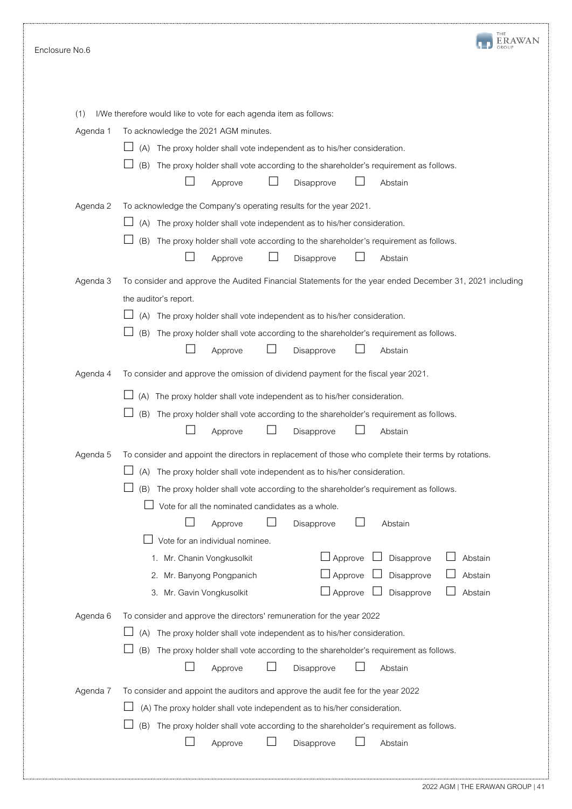| Enclosure No.6  |                                                                                                                                                                                                                                                                                                                                                                                                                                                                                                                                                                                                                                       |
|-----------------|---------------------------------------------------------------------------------------------------------------------------------------------------------------------------------------------------------------------------------------------------------------------------------------------------------------------------------------------------------------------------------------------------------------------------------------------------------------------------------------------------------------------------------------------------------------------------------------------------------------------------------------|
| (1)<br>Agenda 1 | I/We therefore would like to vote for each agenda item as follows:<br>To acknowledge the 2021 AGM minutes.<br>The proxy holder shall vote independent as to his/her consideration.<br>(A)<br>The proxy holder shall vote according to the shareholder's requirement as follows.<br>(B)<br>Approve<br>Disapprove<br>Abstain                                                                                                                                                                                                                                                                                                            |
| Agenda 2        | To acknowledge the Company's operating results for the year 2021.<br>(A) The proxy holder shall vote independent as to his/her consideration.<br>(B)<br>The proxy holder shall vote according to the shareholder's requirement as follows.<br>Approve<br>Disapprove<br>Abstain                                                                                                                                                                                                                                                                                                                                                        |
| Agenda 3        | To consider and approve the Audited Financial Statements for the year ended December 31, 2021 including<br>the auditor's report.<br>(A) The proxy holder shall vote independent as to his/her consideration.<br>The proxy holder shall vote according to the shareholder's requirement as follows.<br>(B)<br>Approve<br>Disapprove<br>Abstain                                                                                                                                                                                                                                                                                         |
| Agenda 4        | To consider and approve the omission of dividend payment for the fiscal year 2021.<br>The proxy holder shall vote independent as to his/her consideration.<br>(A)<br>(B)<br>The proxy holder shall vote according to the shareholder's requirement as follows.<br>Disapprove<br>Approve<br>Abstain                                                                                                                                                                                                                                                                                                                                    |
| Agenda 5        | To consider and appoint the directors in replacement of those who complete their terms by rotations.<br>The proxy holder shall vote independent as to his/her consideration.<br>(A)<br>(B)<br>The proxy holder shall vote according to the shareholder's requirement as follows.<br>Vote for all the nominated candidates as a whole.<br>Disapprove<br>Abstain<br>Approve<br>Vote for an individual nominee.<br>$\Box$ Approve<br>Disapprove<br>Abstain<br>1. Mr. Chanin Vongkusolkit<br>$\Box$ Approve<br>Disapprove<br>Abstain<br>2. Mr. Banyong Pongpanich<br>$\Box$ Approve<br>Disapprove<br>Abstain<br>3. Mr. Gavin Vongkusolkit |
| Agenda 6        | To consider and approve the directors' remuneration for the year 2022<br>The proxy holder shall vote independent as to his/her consideration.<br>(A)<br>(B)<br>The proxy holder shall vote according to the shareholder's requirement as follows.<br>Disapprove<br>Abstain<br>Approve                                                                                                                                                                                                                                                                                                                                                 |
| Agenda 7        | To consider and appoint the auditors and approve the audit fee for the year 2022<br>(A) The proxy holder shall vote independent as to his/her consideration.<br>(B) The proxy holder shall vote according to the shareholder's requirement as follows.<br>Disapprove<br>Abstain<br>Approve                                                                                                                                                                                                                                                                                                                                            |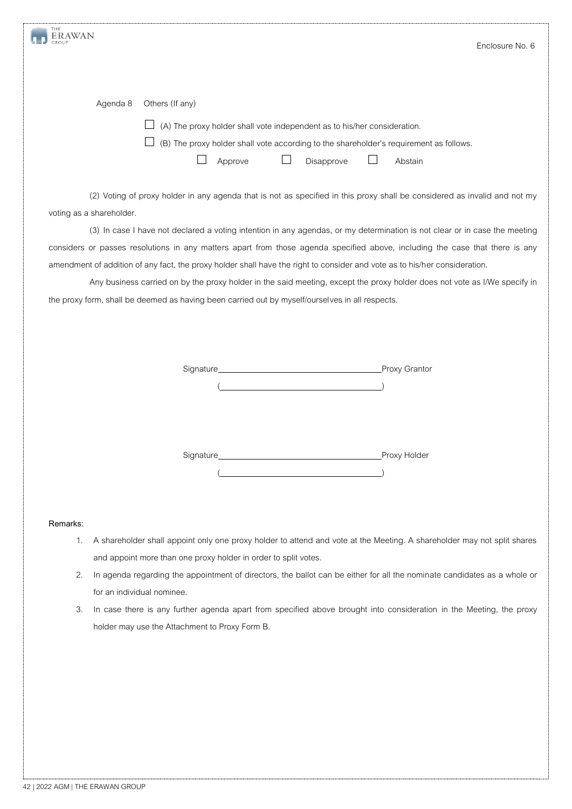| ERAWAN                                         |                                                                                                                              | Enclosure No. 6 |
|------------------------------------------------|------------------------------------------------------------------------------------------------------------------------------|-----------------|
|                                                |                                                                                                                              |                 |
|                                                |                                                                                                                              |                 |
| Agenda 8<br>Others (If any)                    |                                                                                                                              |                 |
|                                                | (A) The proxy holder shall vote independent as to his/her consideration.                                                     |                 |
|                                                | (B) The proxy holder shall vote according to the shareholder's requirement as follows.                                       |                 |
|                                                | Approve<br>Disapprove                                                                                                        | Abstain         |
|                                                |                                                                                                                              |                 |
|                                                | (2) Voting of proxy holder in any agenda that is not as specified in this proxy shall be considered as invalid and not my    |                 |
| voting as a shareholder.                       |                                                                                                                              |                 |
|                                                | (3) In case I have not declared a voting intention in any agendas, or my determination is not clear or in case the meeting   |                 |
|                                                | considers or passes resolutions in any matters apart from those agenda specified above, including the case that there is any |                 |
|                                                | amendment of addition of any fact, the proxy holder shall have the right to consider and vote as to his/her consideration.   |                 |
|                                                | Any business carried on by the proxy holder in the said meeting, except the proxy holder does not vote as I/We specify in    |                 |
|                                                | the proxy form, shall be deemed as having been carried out by myself/ourselves in all respects.                              |                 |
|                                                |                                                                                                                              |                 |
|                                                |                                                                                                                              |                 |
|                                                |                                                                                                                              |                 |
|                                                |                                                                                                                              |                 |
|                                                |                                                                                                                              |                 |
|                                                |                                                                                                                              |                 |
|                                                |                                                                                                                              |                 |
|                                                |                                                                                                                              |                 |
|                                                |                                                                                                                              | Proxy Holder    |
|                                                |                                                                                                                              |                 |
|                                                |                                                                                                                              |                 |
|                                                |                                                                                                                              |                 |
| Remarks:                                       |                                                                                                                              |                 |
| 1.                                             | A shareholder shall appoint only one proxy holder to attend and vote at the Meeting. A shareholder may not split shares      |                 |
|                                                | and appoint more than one proxy holder in order to split votes.                                                              |                 |
| 2.                                             | In agenda regarding the appointment of directors, the ballot can be either for all the nominate candidates as a whole or     |                 |
| for an individual nominee.                     |                                                                                                                              |                 |
| 3.                                             | In case there is any further agenda apart from specified above brought into consideration in the Meeting, the proxy          |                 |
| holder may use the Attachment to Proxy Form B. |                                                                                                                              |                 |